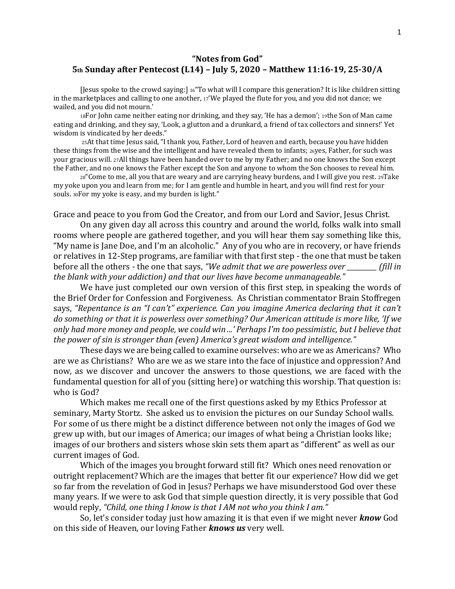## **"Notes from God" 5th Sunday after Pentecost (L14) – July 5, 2020 – Matthew 11:16-19, 25-30/A**

[Jesus spoke to the crowd saying:] 16"To what will I compare this generation? It is like children sitting in the marketplaces and calling to one another, <sup>17</sup>'We played the flute for you, and you did not dance; we wailed, and you did not mourn.'

<sup>18</sup>For John came neither eating nor drinking, and they say, 'He has a demon'; 19the Son of Man came eating and drinking, and they say, 'Look, a glutton and a drunkard, a friend of tax collectors and sinners!' Yet wisdom is vindicated by her deeds."

<sup>25</sup>At that time Jesus said, "I thank you, Father, Lord of heaven and earth, because you have hidden these things from the wise and the intelligent and have revealed them to infants; 26yes, Father, for such was your gracious will. 27All things have been handed over to me by my Father; and no one knows the Son except the Father, and no one knows the Father except the Son and anyone to whom the Son chooses to reveal him.

<sup>28</sup>"Come to me, all you that are weary and are carrying heavy burdens, and I will give you rest. 29Take my yoke upon you and learn from me; for I am gentle and humble in heart, and you will find rest for your souls. 30For my yoke is easy, and my burden is light."

Grace and peace to you from God the Creator, and from our Lord and Savior, Jesus Christ.

On any given day all across this country and around the world, folks walk into small rooms where people are gathered together, and you will hear them say something like this, "My name is Jane Doe, and I'm an alcoholic." Any of you who are in recovery, or have friends or relatives in 12-Step programs, are familiar with that first step - the one that must be taken before all the others - the one that says, *"We admit that we are powerless over \_\_\_\_\_\_\_\_\_ (fill in the blank with your addiction) and that our lives have become unmanageable."*

We have just completed our own version of this first step, in speaking the words of the Brief Order for Confession and Forgiveness. As Christian commentator Brain Stoffregen says, *"Repentance is an "I can't" experience. Can you imagine America declaring that it can't do something or that it is powerless over something? Our American attitude is more like, 'If we only had more money and people, we could win ...' Perhaps I'm too pessimistic, but I believe that the power of sin is stronger than (even) America's great wisdom and intelligence."* 

These days we are being called to examine ourselves: who are we as Americans? Who are we as Christians? Who are we as we stare into the face of injustice and oppression? And now, as we discover and uncover the answers to those questions, we are faced with the fundamental question for all of you (sitting here) or watching this worship. That question is: who is God?

Which makes me recall one of the first questions asked by my Ethics Professor at seminary, Marty Stortz. She asked us to envision the pictures on our Sunday School walls. For some of us there might be a distinct difference between not only the images of God we grew up with, but our images of America; our images of what being a Christian looks like; images of our brothers and sisters whose skin sets them apart as "different" as well as our current images of God.

Which of the images you brought forward still fit? Which ones need renovation or outright replacement? Which are the images that better fit our experience? How did we get so far from the revelation of God in Jesus? Perhaps we have misunderstood God over these many years. If we were to ask God that simple question directly, it is very possible that God would reply, *"Child, one thing I know is that I AM not who you think I am."*

So, let's consider today just how amazing it is that even if we might never *know* God on this side of Heaven, our loving Father *knows us* very well.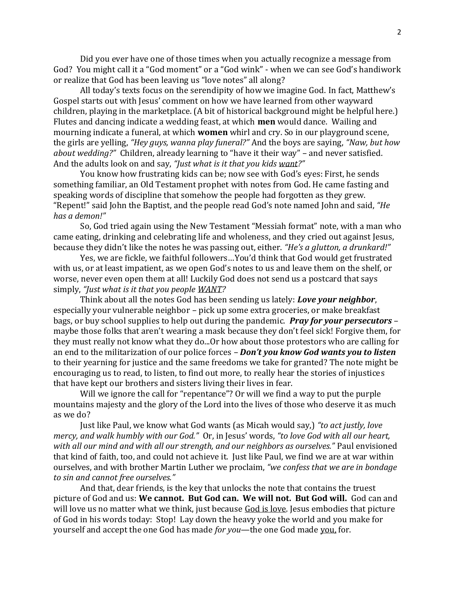Did you ever have one of those times when you actually recognize a message from God? You might call it a "God moment" or a "God wink" - when we can see God's handiwork or realize that God has been leaving us "love notes" all along?

All today's texts focus on the serendipity of how we imagine God. In fact, Matthew's Gospel starts out with Jesus' comment on how we have learned from other wayward children, playing in the marketplace. (A bit of historical background might be helpful here.) Flutes and dancing indicate a wedding feast, at which **men** would dance. Wailing and mourning indicate a funeral, at which **women** whirl and cry. So in our playground scene, the girls are yelling, *"Hey guys, wanna play funeral?"* And the boys are saying, *"Naw, but how about wedding?"* Children, already learning to "have it their way" – and never satisfied. And the adults look on and say, *"Just what is it that you kids want?"*

You know how frustrating kids can be; now see with God's eyes: First, he sends something familiar, an Old Testament prophet with notes from God. He came fasting and speaking words of discipline that somehow the people had forgotten as they grew. "Repent!" said John the Baptist, and the people read God's note named John and said, *"He has a demon!"* 

So, God tried again using the New Testament "Messiah format" note, with a man who came eating, drinking and celebrating life and wholeness, and they cried out against Jesus, because they didn't like the notes he was passing out, either. *"He's a glutton, a drunkard!"*

Yes, we are fickle, we faithful followers…You'd think that God would get frustrated with us, or at least impatient, as we open God's notes to us and leave them on the shelf, or worse, never even open them at all! Luckily God does not send us a postcard that says simply, *"Just what is it that you people WANT?* 

Think about all the notes God has been sending us lately: *Love your neighbor*, especially your vulnerable neighbor – pick up some extra groceries, or make breakfast bags, or buy school supplies to help out during the pandemic. *Pray for your persecutors* – maybe those folks that aren't wearing a mask because they don't feel sick! Forgive them, for they must really not know what they do...Or how about those protestors who are calling for an end to the militarization of our police forces – *Don't you know God wants you to listen*  to their yearning for justice and the same freedoms we take for granted? The note might be encouraging us to read, to listen, to find out more, to really hear the stories of injustices that have kept our brothers and sisters living their lives in fear.

Will we ignore the call for "repentance"? Or will we find a way to put the purple mountains majesty and the glory of the Lord into the lives of those who deserve it as much as we do?

Just like Paul, we know what God wants (as Micah would say,) *"to act justly, love mercy, and walk humbly with our God."* Or, in Jesus' words, *"to love God with all our heart, with all our mind and with all our strength, and our neighbors as ourselves."* Paul envisioned that kind of faith, too, and could not achieve it. Just like Paul, we find we are at war within ourselves, and with brother Martin Luther we proclaim, *"we confess that we are in bondage to sin and cannot free ourselves."* 

And that, dear friends, is the key that unlocks the note that contains the truest picture of God and us: **We cannot. But God can. We will not. But God will.** God can and will love us no matter what we think, just because God is love. Jesus embodies that picture of God in his words today: Stop! Lay down the heavy yoke the world and you make for yourself and accept the one God has made *for you*—the one God made you, for.